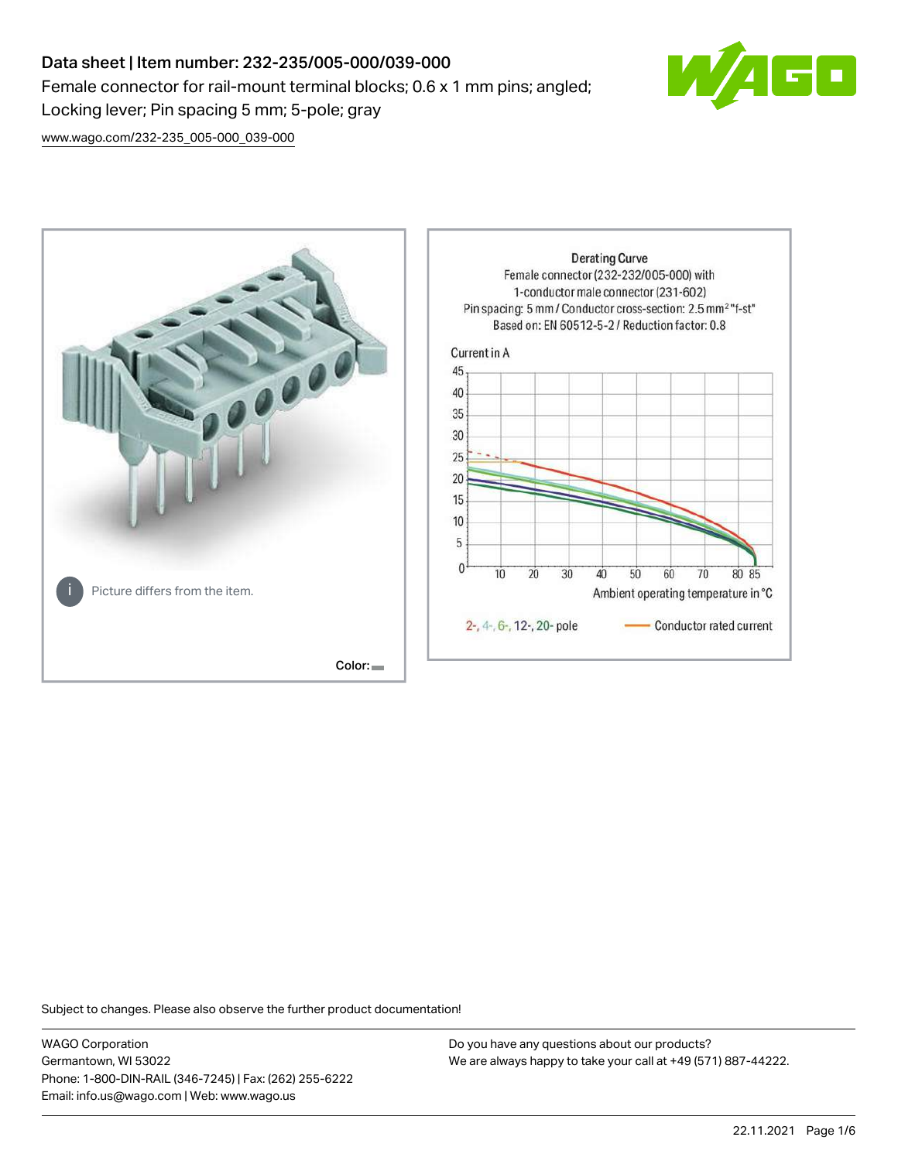# Data sheet | Item number: 232-235/005-000/039-000 Female connector for rail-mount terminal blocks; 0.6 x 1 mm pins; angled; Locking lever; Pin spacing 5 mm; 5-pole; gray



[www.wago.com/232-235\\_005-000\\_039-000](http://www.wago.com/232-235_005-000_039-000)



Subject to changes. Please also observe the further product documentation!

WAGO Corporation Germantown, WI 53022 Phone: 1-800-DIN-RAIL (346-7245) | Fax: (262) 255-6222 Email: info.us@wago.com | Web: www.wago.us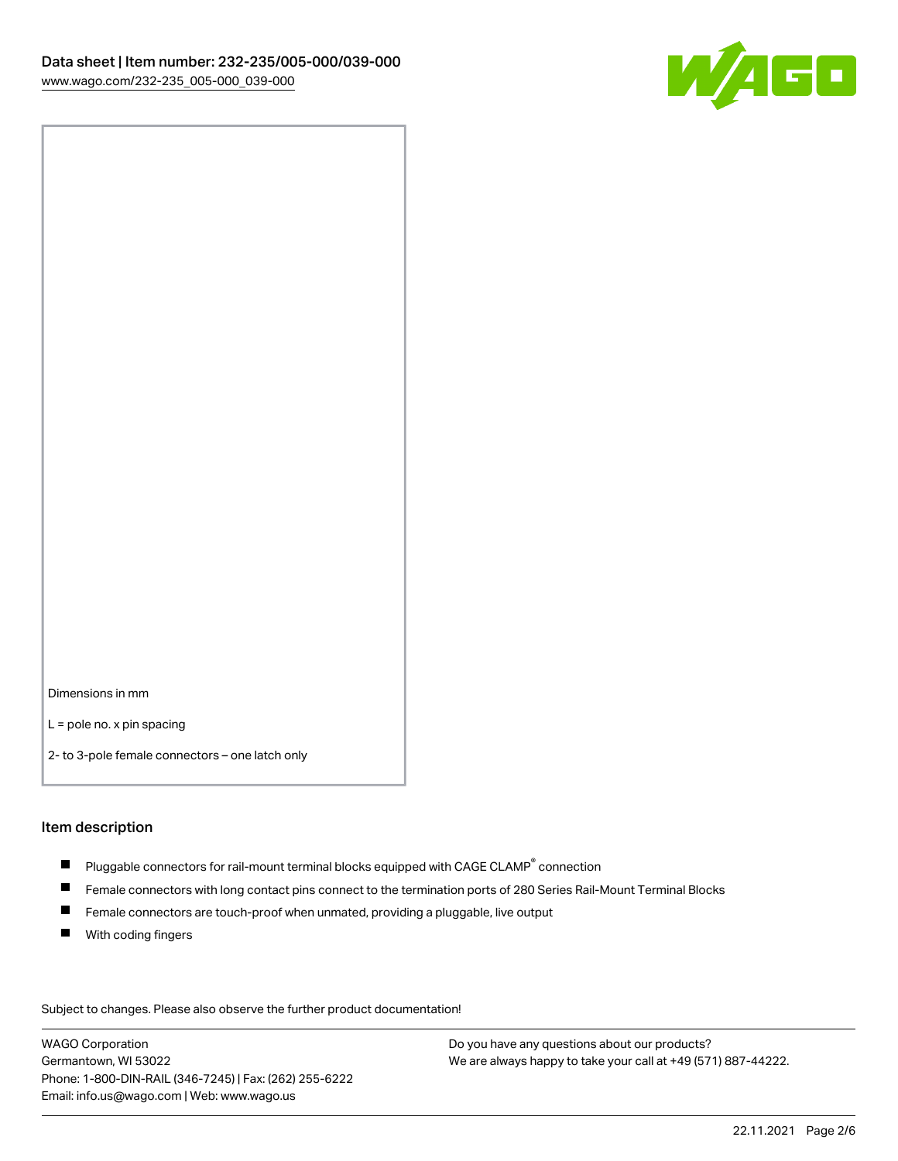

Dimensions in mm

L = pole no. x pin spacing

2- to 3-pole female connectors – one latch only

#### Item description

- $\blacksquare$  Pluggable connectors for rail-mount terminal blocks equipped with CAGE CLAMP $^\circ$  connection
- Female connectors with long contact pins connect to the termination ports of 280 Series Rail-Mount Terminal Blocks
- $\blacksquare$ Female connectors are touch-proof when unmated, providing a pluggable, live output
- $\blacksquare$ With coding fingers

Subject to changes. Please also observe the further product documentation! Data

WAGO Corporation Germantown, WI 53022 Phone: 1-800-DIN-RAIL (346-7245) | Fax: (262) 255-6222 Email: info.us@wago.com | Web: www.wago.us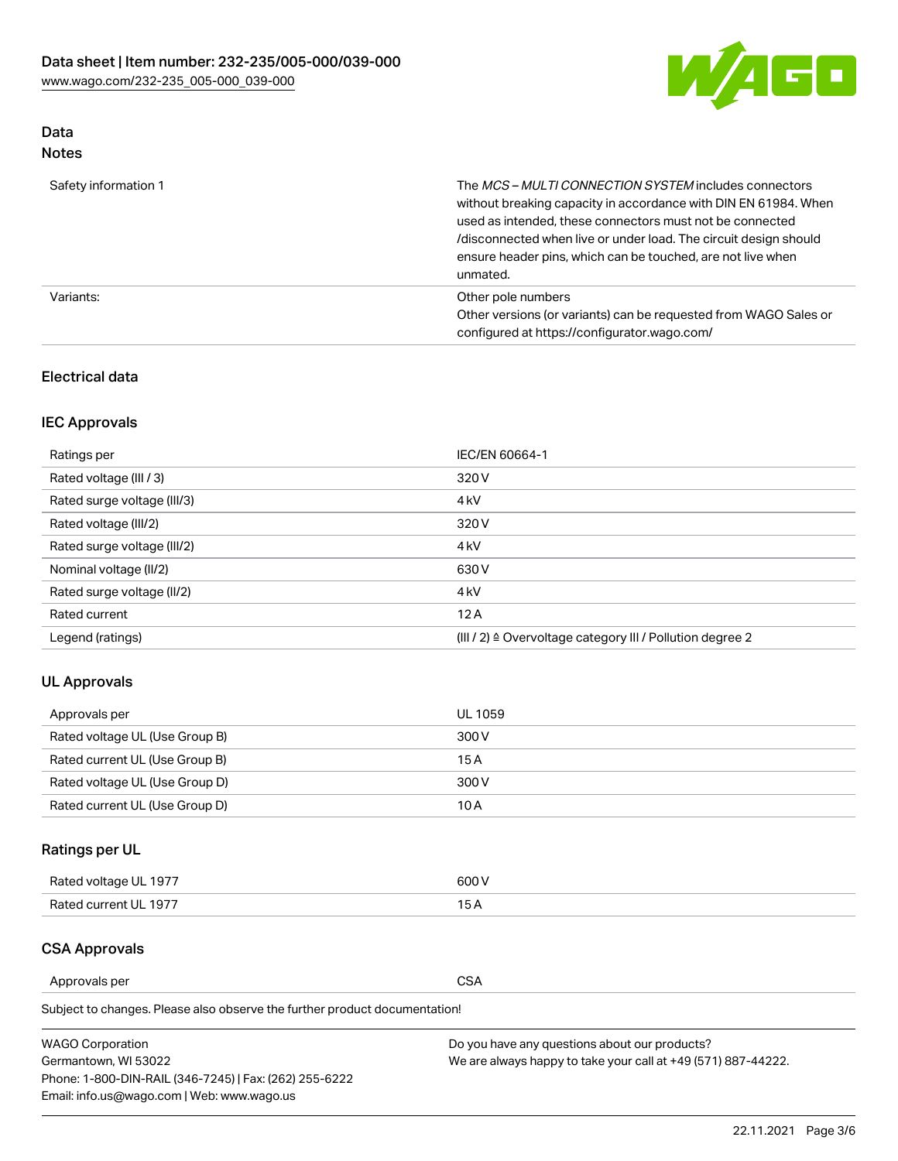

# Data

| Note |
|------|
|------|

| Safety information 1 | The <i>MCS – MULTI CONNECTION SYSTEM</i> includes connectors<br>without breaking capacity in accordance with DIN EN 61984. When<br>used as intended, these connectors must not be connected<br>/disconnected when live or under load. The circuit design should<br>ensure header pins, which can be touched, are not live when<br>unmated. |
|----------------------|--------------------------------------------------------------------------------------------------------------------------------------------------------------------------------------------------------------------------------------------------------------------------------------------------------------------------------------------|
| Variants:            | Other pole numbers<br>Other versions (or variants) can be requested from WAGO Sales or<br>configured at https://configurator.wago.com/                                                                                                                                                                                                     |

# Electrical data

# IEC Approvals

| Ratings per                 | IEC/EN 60664-1                                                        |
|-----------------------------|-----------------------------------------------------------------------|
| Rated voltage (III / 3)     | 320 V                                                                 |
| Rated surge voltage (III/3) | 4 <sub>k</sub> V                                                      |
| Rated voltage (III/2)       | 320 V                                                                 |
| Rated surge voltage (III/2) | 4 <sub>k</sub> V                                                      |
| Nominal voltage (II/2)      | 630 V                                                                 |
| Rated surge voltage (II/2)  | 4 <sub>k</sub> V                                                      |
| Rated current               | 12A                                                                   |
| Legend (ratings)            | $(III / 2)$ $\triangle$ Overvoltage category III / Pollution degree 2 |

# UL Approvals

| Approvals per                  | UL 1059 |
|--------------------------------|---------|
| Rated voltage UL (Use Group B) | 300 V   |
| Rated current UL (Use Group B) | 15 A    |
| Rated voltage UL (Use Group D) | 300 V   |
| Rated current UL (Use Group D) | 10 A    |

# Ratings per UL

| Rated voltage UL 1977 | 300 V |
|-----------------------|-------|
| Rated current UL 1977 |       |

# CSA Approvals

Approvals per CSA

Subject to changes. Please also observe the further product documentation!

| <b>WAGO Corporation</b>                                | Do you have any questions about our products?                 |
|--------------------------------------------------------|---------------------------------------------------------------|
| Germantown, WI 53022                                   | We are always happy to take your call at +49 (571) 887-44222. |
| Phone: 1-800-DIN-RAIL (346-7245)   Fax: (262) 255-6222 |                                                               |
| Email: info.us@wago.com   Web: www.wago.us             |                                                               |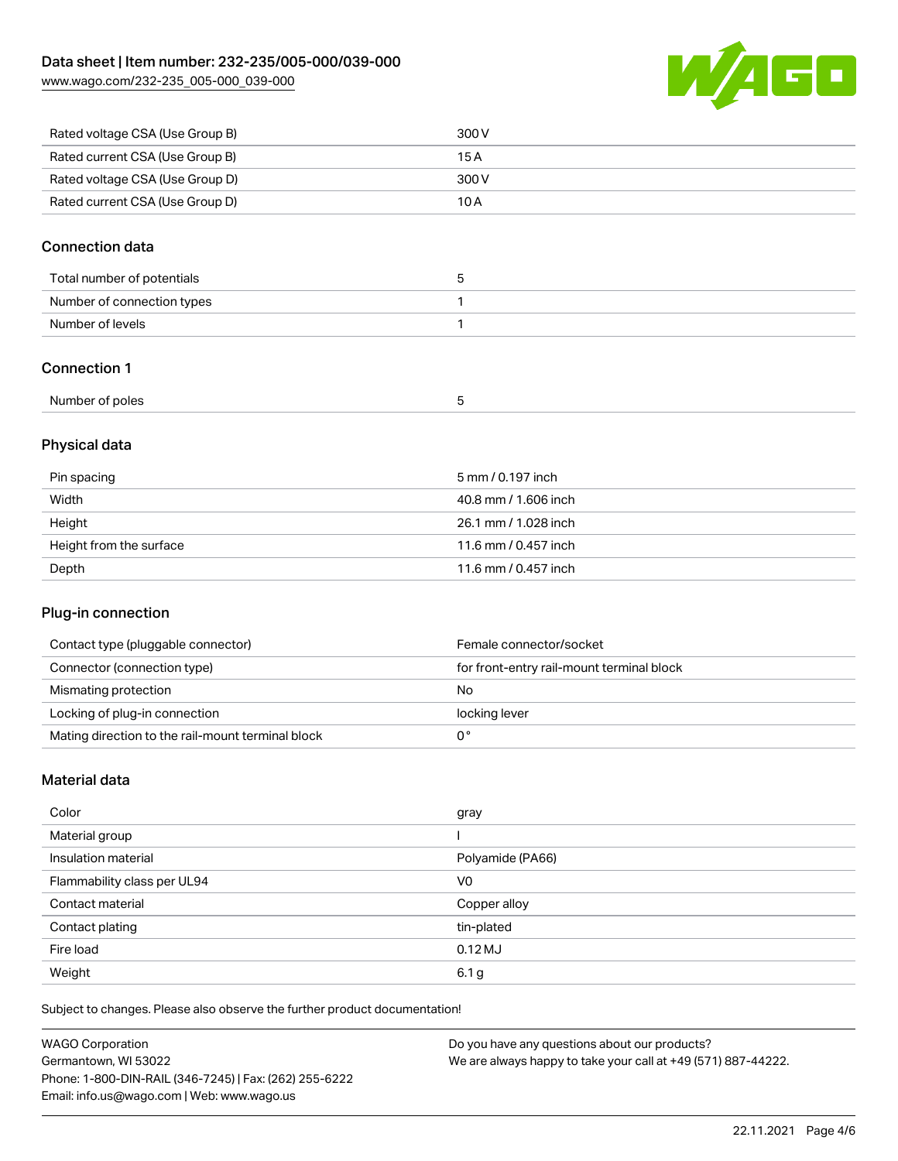Rated current CSA (Use Group D) 10A

60 W

| Rated voltage CSA (Use Group B) | 300 V |
|---------------------------------|-------|
| Rated current CSA (Use Group B) | 15 A  |
| Rated voltage CSA (Use Group D) | 300 V |

## Connection data

| Total number of potentials |  |
|----------------------------|--|
| Number of connection types |  |
| Number of levels           |  |
|                            |  |

## Connection 1

| Number of poles |  |  |
|-----------------|--|--|
|-----------------|--|--|

# Physical data

| Pin spacing             | 5 mm / 0.197 inch    |
|-------------------------|----------------------|
| Width                   | 40.8 mm / 1.606 inch |
| Height                  | 26.1 mm / 1.028 inch |
| Height from the surface | 11.6 mm / 0.457 inch |
| Depth                   | 11.6 mm / 0.457 inch |

## Plug-in connection

| Contact type (pluggable connector)                | Female connector/socket                   |
|---------------------------------------------------|-------------------------------------------|
| Connector (connection type)                       | for front-entry rail-mount terminal block |
| Mismating protection                              | No                                        |
| Locking of plug-in connection                     | locking lever                             |
| Mating direction to the rail-mount terminal block |                                           |

### Material data

| Color                       | gray             |
|-----------------------------|------------------|
| Material group              |                  |
| Insulation material         | Polyamide (PA66) |
| Flammability class per UL94 | V <sub>0</sub>   |
| Contact material            | Copper alloy     |
| Contact plating             | tin-plated       |
| Fire load                   | 0.12 MJ          |
| Weight                      | 6.1 <sub>g</sub> |

Subject to changes. Please also observe the further product documentation!

| <b>WAGO Corporation</b>                                | Do you have any questions about our products?                 |
|--------------------------------------------------------|---------------------------------------------------------------|
| Germantown, WI 53022                                   | We are always happy to take your call at +49 (571) 887-44222. |
| Phone: 1-800-DIN-RAIL (346-7245)   Fax: (262) 255-6222 |                                                               |
| Email: info.us@wago.com   Web: www.wago.us             |                                                               |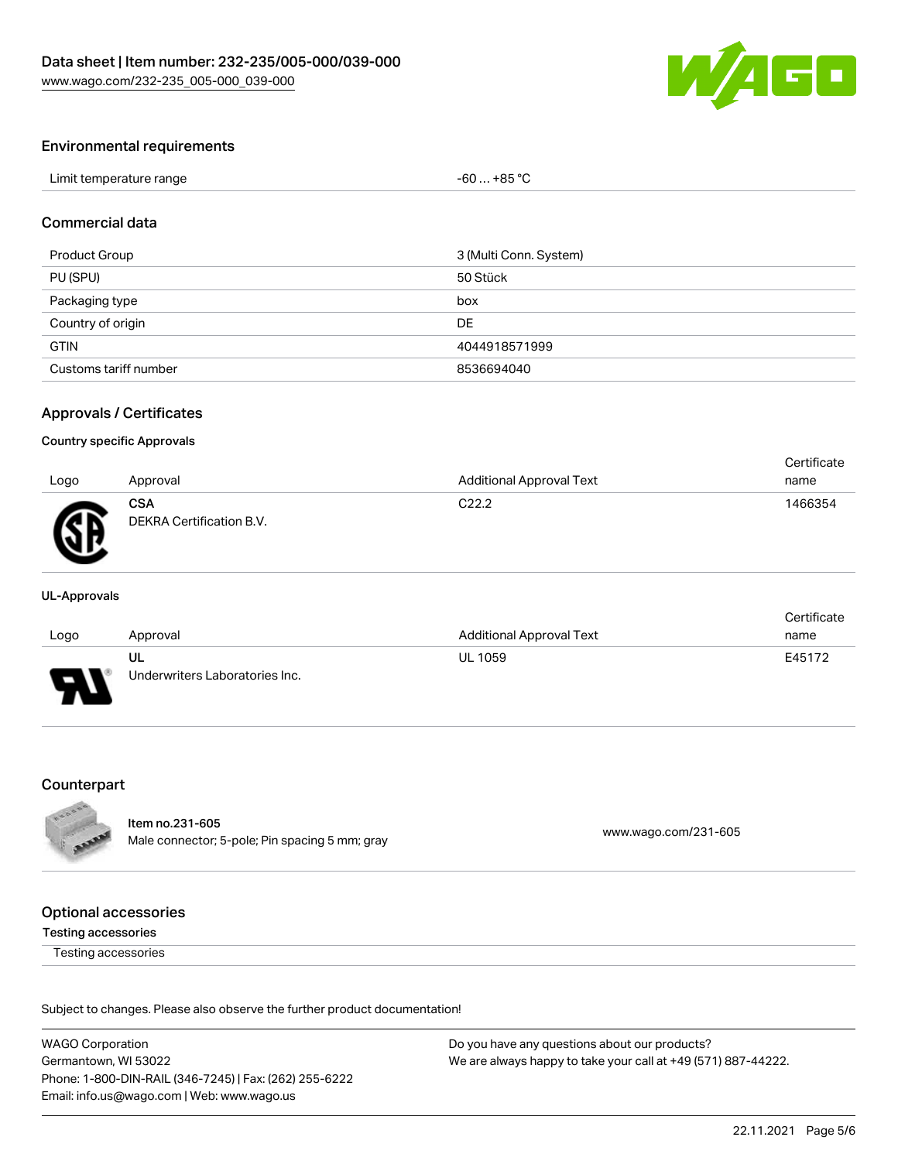

#### Environmental requirements

| Limit temperature range | $$ +85 °C<br>-60 |  |
|-------------------------|------------------|--|
|-------------------------|------------------|--|

### Commercial data

| Product Group         | 3 (Multi Conn. System) |
|-----------------------|------------------------|
| PU (SPU)              | 50 Stück               |
| Packaging type        | box                    |
| Country of origin     | DE                     |
| <b>GTIN</b>           | 4044918571999          |
| Customs tariff number | 8536694040             |

#### Approvals / Certificates

#### Country specific Approvals

|      |                                        |                                 | Certificate |
|------|----------------------------------------|---------------------------------|-------------|
| Logo | Approval                               | <b>Additional Approval Text</b> | name        |
| Æ    | <b>CSA</b><br>DEKRA Certification B.V. | C <sub>22.2</sub>               | 1466354     |

#### UL-Approvals

|        |                                |                                 | Certificate |
|--------|--------------------------------|---------------------------------|-------------|
| Logo   | Approval                       | <b>Additional Approval Text</b> | name        |
|        | UL                             | <b>UL 1059</b>                  | E45172      |
| $\Box$ | Underwriters Laboratories Inc. |                                 |             |

#### Counterpart



Item no.231-605 nem no.251-605<br>Male connector; 5-pole; Pin spacing 5 mm; gray [www.wago.com/231-605](https://www.wago.com/231-605)

#### Optional accessories

#### Testing accessories

Testing accessories

Subject to changes. Please also observe the further product documentation!

WAGO Corporation Germantown, WI 53022 Phone: 1-800-DIN-RAIL (346-7245) | Fax: (262) 255-6222 Email: info.us@wago.com | Web: www.wago.us